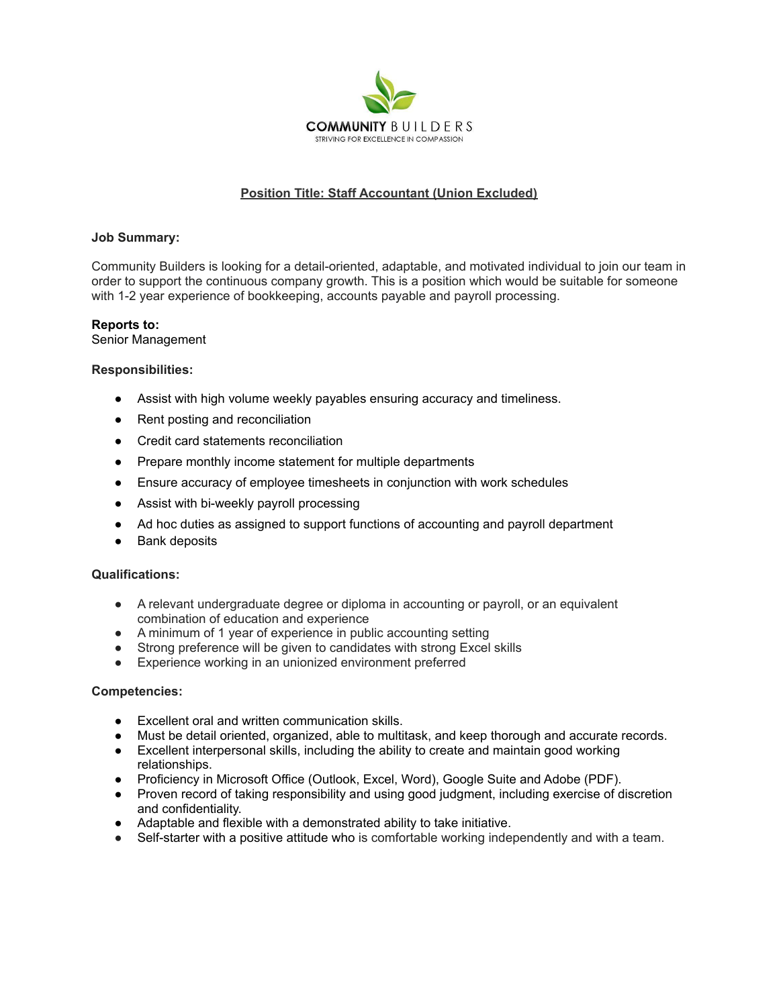

# **Position Title: Staff Accountant (Union Excluded)**

## **Job Summary:**

Community Builders is looking for a detail-oriented, adaptable, and motivated individual to join our team in order to support the continuous company growth. This is a position which would be suitable for someone with 1-2 year experience of bookkeeping, accounts payable and payroll processing.

## **Reports to:**

Senior Management

### **Responsibilities:**

- Assist with high volume weekly payables ensuring accuracy and timeliness.
- Rent posting and reconciliation
- Credit card statements reconciliation
- Prepare monthly income statement for multiple departments
- Ensure accuracy of employee timesheets in conjunction with work schedules
- Assist with bi-weekly payroll processing
- Ad hoc duties as assigned to support functions of accounting and payroll department
- Bank deposits

### **Qualifications:**

- A relevant undergraduate degree or diploma in accounting or payroll, or an equivalent combination of education and experience
- A minimum of 1 year of experience in public accounting setting
- Strong preference will be given to candidates with strong Excel skills
- Experience working in an unionized environment preferred

### **Competencies:**

- Excellent oral and written communication skills.
- Must be detail oriented, organized, able to multitask, and keep thorough and accurate records.
- Excellent interpersonal skills, including the ability to create and maintain good working relationships.
- Proficiency in Microsoft Office (Outlook, Excel, Word), Google Suite and Adobe (PDF).
- Proven record of taking responsibility and using good judgment, including exercise of discretion and confidentiality.
- Adaptable and flexible with a demonstrated ability to take initiative.
- Self-starter with a positive attitude who is comfortable working independently and with a team.